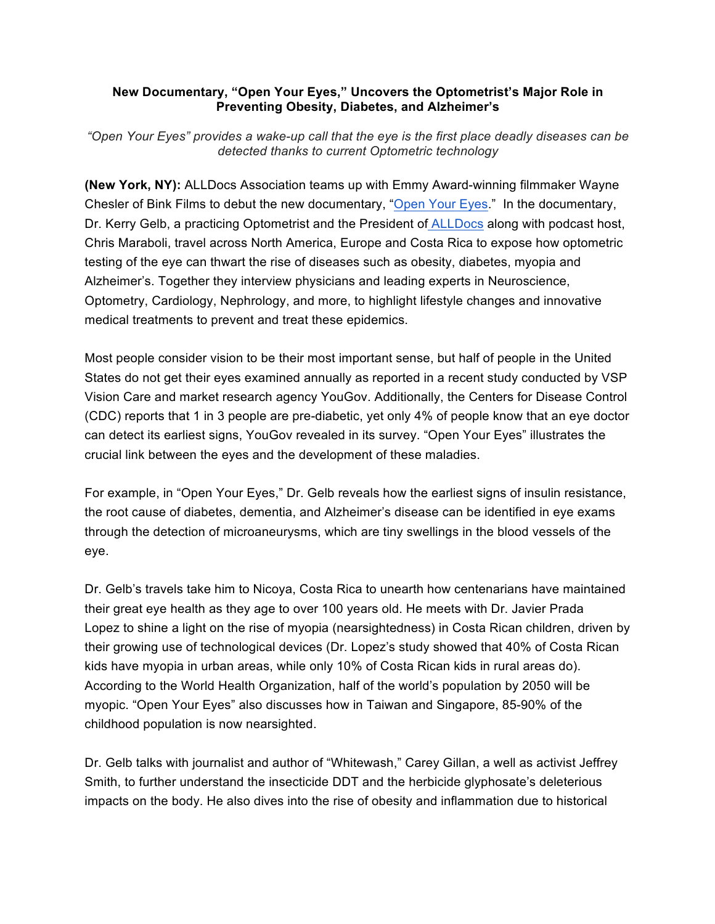## **New Documentary, "Open Your Eyes," Uncovers the Optometrist's Major Role in Preventing Obesity, Diabetes, and Alzheimer's**

*"Open Your Eyes" provides a wake-up call that the eye is the first place deadly diseases can be detected thanks to current Optometric technology*

**(New York, NY):** ALLDocs Association teams up with Emmy Award-winning filmmaker Wayne Chesler of Bink Films to debut the new documentary, "Open Your Eyes." In the documentary, Dr. Kerry Gelb, a practicing Optometrist and the President of ALLDocs along with podcast host, Chris Maraboli, travel across North America, Europe and Costa Rica to expose how optometric testing of the eye can thwart the rise of diseases such as obesity, diabetes, myopia and Alzheimer's. Together they interview physicians and leading experts in Neuroscience, Optometry, Cardiology, Nephrology, and more, to highlight lifestyle changes and innovative medical treatments to prevent and treat these epidemics.

Most people consider vision to be their most important sense, but half of people in the United States do not get their eyes examined annually as reported in a recent study conducted by VSP Vision Care and market research agency YouGov. Additionally, the Centers for Disease Control (CDC) reports that 1 in 3 people are pre-diabetic, yet only 4% of people know that an eye doctor can detect its earliest signs, YouGov revealed in its survey. "Open Your Eyes" illustrates the crucial link between the eyes and the development of these maladies.

For example, in "Open Your Eyes," Dr. Gelb reveals how the earliest signs of insulin resistance, the root cause of diabetes, dementia, and Alzheimer's disease can be identified in eye exams through the detection of microaneurysms, which are tiny swellings in the blood vessels of the eye.

Dr. Gelb's travels take him to Nicoya, Costa Rica to unearth how centenarians have maintained their great eye health as they age to over 100 years old. He meets with Dr. Javier Prada Lopez to shine a light on the rise of myopia (nearsightedness) in Costa Rican children, driven by their growing use of technological devices (Dr. Lopez's study showed that 40% of Costa Rican kids have myopia in urban areas, while only 10% of Costa Rican kids in rural areas do). According to the World Health Organization, half of the world's population by 2050 will be myopic. "Open Your Eyes" also discusses how in Taiwan and Singapore, 85-90% of the childhood population is now nearsighted.

Dr. Gelb talks with journalist and author of "Whitewash," Carey Gillan, a well as activist Jeffrey Smith, to further understand the insecticide DDT and the herbicide glyphosate's deleterious impacts on the body. He also dives into the rise of obesity and inflammation due to historical